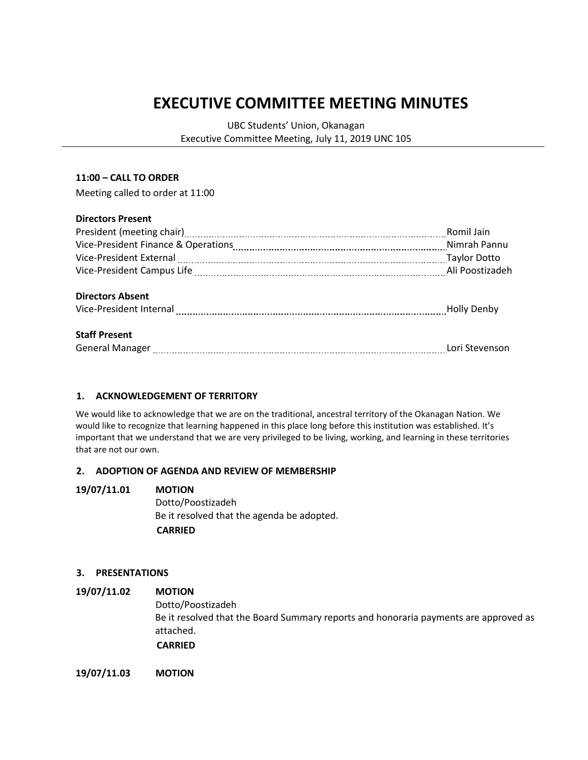# **EXECUTIVE COMMITTEE MEETING MINUTES**

UBC Students' Union, Okanagan Executive Committee Meeting, July 11, 2019 UNC 105

#### **11:00 – CALL TO ORDER**

Meeting called to order at 11:00

#### **Directors Present**

|                                                                                                                                                                                                                                                        | Romil Jain         |
|--------------------------------------------------------------------------------------------------------------------------------------------------------------------------------------------------------------------------------------------------------|--------------------|
|                                                                                                                                                                                                                                                        |                    |
| Vice-President External [111] Vice-President External [111] Manuschill (2011] Maylor Dotto                                                                                                                                                             |                    |
|                                                                                                                                                                                                                                                        |                    |
| <b>Directors Absent</b>                                                                                                                                                                                                                                | <b>Holly Denby</b> |
| <b>Staff Present</b><br>General Manager [11] Lori Stevenson and Manager [11] Lori Stevenson and Manager [11] Manager [11] Manager [11] Manager [11] Manager [11] Manager [11] Manager [11] Manager [11] Manager [11] Manager [11] Manager [11] Manager |                    |

#### **1. ACKNOWLEDGEMENT OF TERRITORY**

We would like to acknowledge that we are on the traditional, ancestral territory of the Okanagan Nation. We would like to recognize that learning happened in this place long before this institution was established. It's important that we understand that we are very privileged to be living, working, and learning in these territories that are not our own.

#### **2. ADOPTION OF AGENDA AND REVIEW OF MEMBERSHIP**

### **19/07/11.01 MOTION** Dotto/Poostizadeh Be it resolved that the agenda be adopted.  **CARRIED**

#### **3. PRESENTATIONS**

### **19/07/11.02 MOTION** Dotto/Poostizadeh Be it resolved that the Board Summary reports and honoraria payments are approved as attached.  **CARRIED**

**19/07/11.03 MOTION**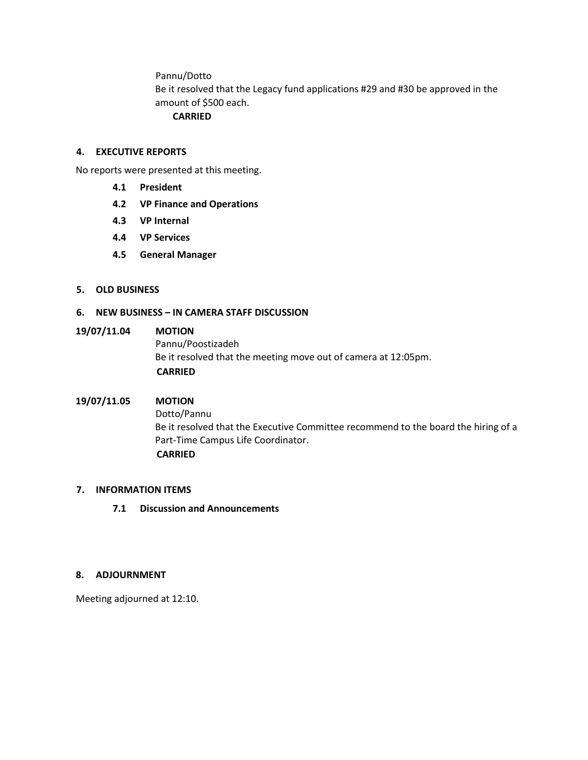Pannu/Dotto

Be it resolved that the Legacy fund applications #29 and #30 be approved in the amount of \$500 each.

#### **CARRIED**

#### **4. EXECUTIVE REPORTS**

No reports were presented at this meeting.

- **4.1 President**
- **4.2 VP Finance and Operations**
- **4.3 VP Internal**
- **4.4 VP Services**
- **4.5 General Manager**

#### **5. OLD BUSINESS**

#### **6. NEW BUSINESS – IN CAMERA STAFF DISCUSSION**

### **19/07/11.04 MOTION**

Pannu/Poostizadeh Be it resolved that the meeting move out of camera at 12:05pm.  **CARRIED**

#### **19/07/11.05 MOTION**

Dotto/Pannu Be it resolved that the Executive Committee recommend to the board the hiring of a Part-Time Campus Life Coordinator.  **CARRIED**

#### **7. INFORMATION ITEMS**

**7.1 Discussion and Announcements**

#### **8. ADJOURNMENT**

Meeting adjourned at 12:10.